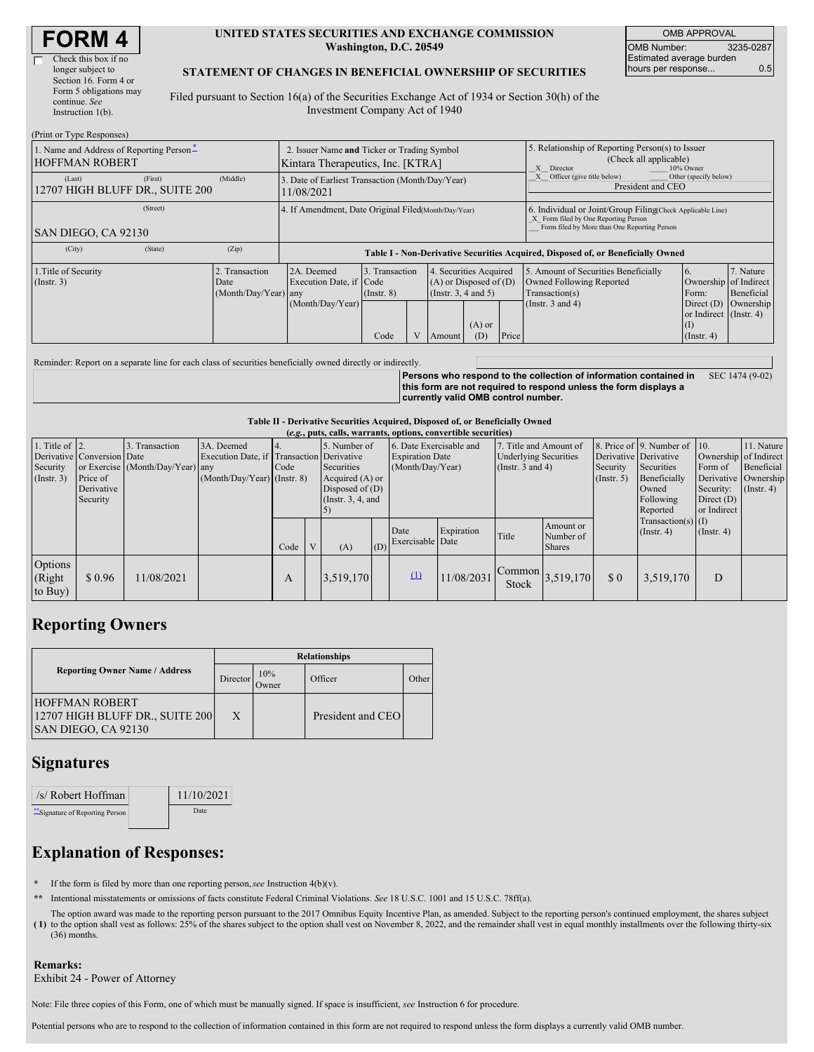| Check this box if no   |
|------------------------|
| longer subject to      |
| Section 16. Form 4 or  |
| Form 5 obligations may |
| continue. See          |
| Instruction $l(b)$ .   |

#### **UNITED STATES SECURITIES AND EXCHANGE COMMISSION Washington, D.C. 20549**

OMB APPROVAL OMB Number: 3235-0287 Estimated average burden hours per response... 0.5

### **STATEMENT OF CHANGES IN BENEFICIAL OWNERSHIP OF SECURITIES**

Filed pursuant to Section 16(a) of the Securities Exchange Act of 1934 or Section 30(h) of the Investment Company Act of 1940

| (Print or Type Responses)                                         |                                            |                                                |                                                                                                                                            |                                   |  |                                                                              |                 |       |                                                                                                                                                    |                                                           |                                                 |
|-------------------------------------------------------------------|--------------------------------------------|------------------------------------------------|--------------------------------------------------------------------------------------------------------------------------------------------|-----------------------------------|--|------------------------------------------------------------------------------|-----------------|-------|----------------------------------------------------------------------------------------------------------------------------------------------------|-----------------------------------------------------------|-------------------------------------------------|
| 1. Name and Address of Reporting Person-<br><b>HOFFMAN ROBERT</b> |                                            |                                                | 2. Issuer Name and Ticker or Trading Symbol<br>Kintara Therapeutics, Inc. [KTRA]<br>X Director                                             |                                   |  | 5. Relationship of Reporting Person(s) to Issuer<br>(Check all applicable)   | 10% Owner       |       |                                                                                                                                                    |                                                           |                                                 |
| (Last)                                                            | (First)<br>12707 HIGH BLUFF DR., SUITE 200 | (Middle)                                       | Other (specify below)<br>Officer (give title below)<br>3. Date of Earliest Transaction (Month/Day/Year)<br>President and CEO<br>11/08/2021 |                                   |  |                                                                              |                 |       |                                                                                                                                                    |                                                           |                                                 |
| SAN DIEGO, CA 92130                                               | (Street)                                   |                                                | 4. If Amendment, Date Original Filed Month/Day/Year)                                                                                       |                                   |  |                                                                              |                 |       | 6. Individual or Joint/Group Filing Check Applicable Line)<br>X Form filed by One Reporting Person<br>Form filed by More than One Reporting Person |                                                           |                                                 |
| (City)                                                            | (State)                                    | (Zip)                                          |                                                                                                                                            |                                   |  |                                                                              |                 |       | Table I - Non-Derivative Securities Acquired, Disposed of, or Beneficially Owned                                                                   |                                                           |                                                 |
| 1. Title of Security<br>$($ Instr. 3 $)$                          |                                            | 2. Transaction<br>Date<br>(Month/Day/Year) any | 2A. Deemed<br>Execution Date, if Code<br>(Month/Day/Year)                                                                                  | 3. Transaction<br>$($ Instr. $8)$ |  | 4. Securities Acquired<br>$(A)$ or Disposed of $(D)$<br>(Insert. 3, 4 and 5) |                 |       | 5. Amount of Securities Beneficially<br>Owned Following Reported<br>Transaction(s)<br>(Instr. $3$ and $4$ )                                        | 16.<br>Ownership of Indirect<br>Form:                     | 7. Nature<br>Beneficial<br>Direct (D) Ownership |
|                                                                   |                                            |                                                |                                                                                                                                            | Code                              |  | Amount                                                                       | $(A)$ or<br>(D) | Price |                                                                                                                                                    | or Indirect (Instr. 4)<br>$\vert$ (I)<br>$($ Instr. 4 $)$ |                                                 |

Reminder: Report on a separate line for each class of securities beneficially owned directly or indirectly.

**Persons who respond to the collection of information contained in this form are not required to respond unless the form displays a currently valid OMB control number.** SEC 1474 (9-02)

#### **Table II - Derivative Securities Acquired, Disposed of, or Beneficially Owned**

|                                                        | (e.g., puts, calls, warrants, options, convertible securities)   |                                                    |                                                                                          |      |              |                                                                                            |     |                                                                       |            |                                                                                 |                                         |                                                  |                                                                                                                                              |                                                     |                                                                                          |
|--------------------------------------------------------|------------------------------------------------------------------|----------------------------------------------------|------------------------------------------------------------------------------------------|------|--------------|--------------------------------------------------------------------------------------------|-----|-----------------------------------------------------------------------|------------|---------------------------------------------------------------------------------|-----------------------------------------|--------------------------------------------------|----------------------------------------------------------------------------------------------------------------------------------------------|-----------------------------------------------------|------------------------------------------------------------------------------------------|
| 1. Title of $\vert$ 2.<br>Security<br>$($ Instr. 3 $)$ | Derivative Conversion Date<br>Price of<br>Derivative<br>Security | 3. Transaction<br>or Exercise (Month/Day/Year) any | 3A. Deemed<br>Execution Date, if Transaction Derivative<br>$(Month/Day/Year)$ (Instr. 8) | Code |              | 5. Number of<br>Securities<br>Acquired (A) or<br>Disposed of $(D)$<br>(Instr. $3, 4$ , and |     | 6. Date Exercisable and<br><b>Expiration Date</b><br>(Month/Day/Year) |            | 7. Title and Amount of<br><b>Underlying Securities</b><br>(Instr. $3$ and $4$ ) |                                         | Derivative Derivative<br>Security<br>(Insert. 5) | $\vert$ 8. Price of $\vert$ 9. Number of $\vert$ 10.<br>Securities<br>Beneficially<br>Owned<br>Following<br>Reported<br>$Transaction(s)$ (I) | Form of<br>Security:<br>Direct $(D)$<br>or Indirect | 11. Nature<br>Ownership of Indirect<br>Beneficial<br>Derivative Ownership<br>(Insert. 4) |
|                                                        |                                                                  |                                                    |                                                                                          | Code | $\mathbf{V}$ | (A)                                                                                        | (D) | Date<br>Exercisable Date                                              | Expiration | Title                                                                           | Amount or<br>Number of<br><b>Shares</b> |                                                  | $($ Instr. 4 $)$                                                                                                                             | $($ Instr. 4 $)$                                    |                                                                                          |
| Options<br>(Right)<br>to Buy)                          | \$0.96                                                           | 11/08/2021                                         |                                                                                          | А    |              | 3,519,170                                                                                  |     | $\Omega$                                                              | 11/08/2031 | <b>Stock</b>                                                                    | $\frac{1}{21}$ Common 3,519,170         | \$0                                              | 3,519,170                                                                                                                                    | D                                                   |                                                                                          |

# **Reporting Owners**

|                                                                                 | <b>Relationships</b> |                      |                   |         |  |  |  |
|---------------------------------------------------------------------------------|----------------------|----------------------|-------------------|---------|--|--|--|
| <b>Reporting Owner Name / Address</b>                                           | Director             | 10%<br><b>J</b> wner | Officer           | : Other |  |  |  |
| <b>HOFFMAN ROBERT</b><br>12707 HIGH BLUFF DR., SUITE 200<br>SAN DIEGO, CA 92130 | X                    |                      | President and CEO |         |  |  |  |

## **Signatures**

| /s/ Robert Hoffman               | 11/10/2021 |
|----------------------------------|------------|
| ** Signature of Reporting Person | Date       |

# **Explanation of Responses:**

- **\*** If the form is filed by more than one reporting person,*see* Instruction 4(b)(v).
- **\*\*** Intentional misstatements or omissions of facts constitute Federal Criminal Violations. *See* 18 U.S.C. 1001 and 15 U.S.C. 78ff(a).
- **( 1)** to the option shall vest as follows: 25% of the shares subject to the option shall vest on November 8, 2022, and the remainder shall vest in equal monthly installments over the following thirty-six The option award was made to the reporting person pursuant to the 2017 Omnibus Equity Incentive Plan, as amended. Subject to the reporting person's continued employment, the shares subject (36) months.

# **Remarks:**

Exhibit 24 - Power of Attorney

Note: File three copies of this Form, one of which must be manually signed. If space is insufficient, *see* Instruction 6 for procedure.

Potential persons who are to respond to the collection of information contained in this form are not required to respond unless the form displays a currently valid OMB number.